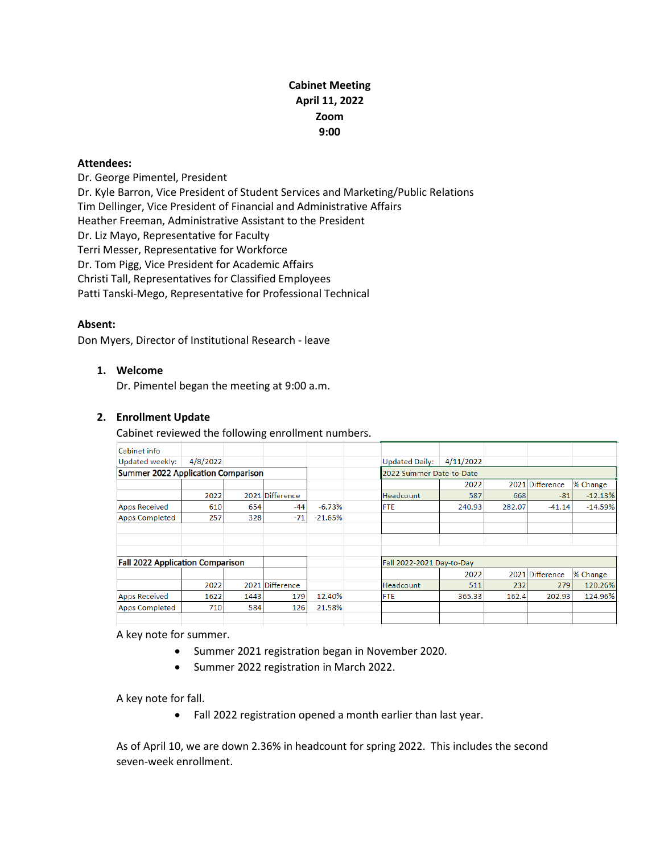# **Cabinet Meeting April 11, 2022 Zoom 9:00**

#### **Attendees:**

Dr. George Pimentel, President Dr. Kyle Barron, Vice President of Student Services and Marketing/Public Relations Tim Dellinger, Vice President of Financial and Administrative Affairs Heather Freeman, Administrative Assistant to the President Dr. Liz Mayo, Representative for Faculty Terri Messer, Representative for Workforce Dr. Tom Pigg, Vice President for Academic Affairs Christi Tall, Representatives for Classified Employees Patti Tanski-Mego, Representative for Professional Technical

#### **Absent:**

Don Myers, Director of Institutional Research - leave

## **1. Welcome**

Dr. Pimentel began the meeting at 9:00 a.m.

#### **2. Enrollment Update**

Cabinet reviewed the following enrollment numbers.

| Cabinet info                              |          |      |                 |           |                       |                           |        |                 |           |  |
|-------------------------------------------|----------|------|-----------------|-----------|-----------------------|---------------------------|--------|-----------------|-----------|--|
| Updated weekly:                           | 4/8/2022 |      |                 |           | <b>Updated Daily:</b> | 4/11/2022                 |        |                 |           |  |
| <b>Summer 2022 Application Comparison</b> |          |      |                 |           |                       | 2022 Summer Date-to-Date  |        |                 |           |  |
|                                           |          |      |                 |           |                       | 2022                      |        | 2021 Difference | % Change  |  |
|                                           | 2022     |      | 2021 Difference |           | Headcount             | 587                       | 668    | $-81$           | $-12.13%$ |  |
| <b>Apps Received</b>                      | 610      | 654  | $-44$           | $-6.73%$  | <b>FTE</b>            | 240.93                    | 282.07 | $-41.14$        | $-14.59%$ |  |
| <b>Apps Completed</b>                     | 257      | 328  | $-71$           | $-21.65%$ |                       |                           |        |                 |           |  |
|                                           |          |      |                 |           |                       |                           |        |                 |           |  |
|                                           |          |      |                 |           |                       |                           |        |                 |           |  |
|                                           |          |      |                 |           |                       |                           |        |                 |           |  |
| <b>Fall 2022 Application Comparison</b>   |          |      |                 |           |                       | Fall 2022-2021 Day-to-Day |        |                 |           |  |
|                                           |          |      |                 |           |                       | 2022                      |        | 2021 Difference | % Change  |  |
|                                           | 2022     |      | 2021 Difference |           | <b>Headcount</b>      | 511                       | 232    | 279             | 120.26%   |  |
| <b>Apps Received</b>                      | 1622     | 1443 | 179             | 12.40%    | <b>FTE</b>            | 365.33                    | 162.4  | 202.93          | 124.96%   |  |
| <b>Apps Completed</b>                     | 710      | 584  | 126             | 21.58%    |                       |                           |        |                 |           |  |
|                                           |          |      |                 |           |                       |                           |        |                 |           |  |
|                                           |          |      |                 |           |                       |                           |        |                 |           |  |

A key note for summer.

- Summer 2021 registration began in November 2020.
- Summer 2022 registration in March 2022.

A key note for fall.

• Fall 2022 registration opened a month earlier than last year.

As of April 10, we are down 2.36% in headcount for spring 2022. This includes the second seven-week enrollment.